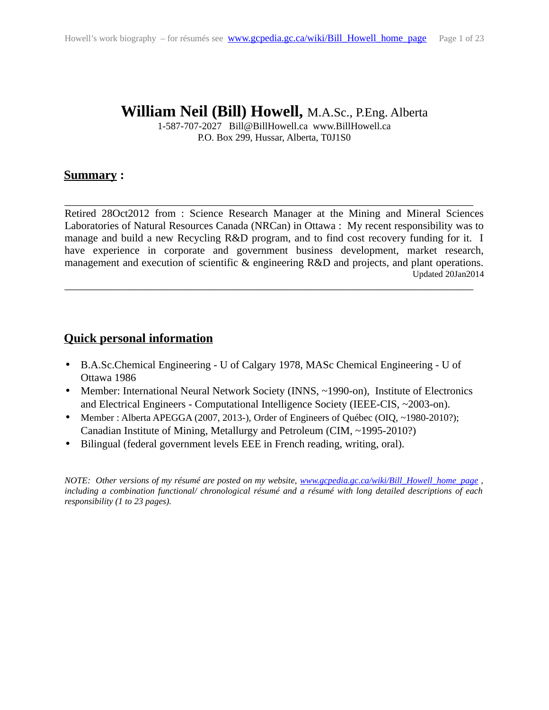# **William Neil (Bill) Howell,** M.A.Sc., P.Eng. Alberta

1-587-707-2027 Bill@BillHowell.ca www.BillHowell.ca P.O. Box 299, Hussar, Alberta, T0J1S0

## <span id="page-0-1"></span>**Summary :**

Retired 28Oct2012 from : Science Research Manager at the Mining and Mineral Sciences Laboratories of Natural Resources Canada (NRCan) in Ottawa : My recent responsibility was to manage and build a new Recycling R&D program, and to find cost recovery funding for it. I have experience in corporate and government business development, market research, management and execution of scientific & engineering R&D and projects, and plant operations. Updated 20Jan2014 \_\_\_\_\_\_\_\_\_\_\_\_\_\_\_\_\_\_\_\_\_\_\_\_\_\_\_\_\_\_\_\_\_\_\_\_\_\_\_\_\_\_\_\_\_\_\_\_\_\_\_\_\_\_\_\_\_\_\_\_\_\_\_\_\_\_\_\_\_\_\_\_\_\_\_\_

\_\_\_\_\_\_\_\_\_\_\_\_\_\_\_\_\_\_\_\_\_\_\_\_\_\_\_\_\_\_\_\_\_\_\_\_\_\_\_\_\_\_\_\_\_\_\_\_\_\_\_\_\_\_\_\_\_\_\_\_\_\_\_\_\_\_\_\_\_\_\_\_\_\_\_\_

## <span id="page-0-0"></span>**Quick personal information**

- B.A.Sc.Chemical Engineering U of Calgary 1978, MASc Chemical Engineering U of Ottawa 1986
- Member: International Neural Network Society (INNS, ~1990-on), Institute of Electronics and Electrical Engineers - Computational Intelligence Society (IEEE-CIS, ~2003-on).
- Member : Alberta APEGGA (2007, 2013-), Order of Engineers of Québec (OIQ, ~1980-2010?); Canadian Institute of Mining, Metallurgy and Petroleum (CIM, ~1995-2010?)
- Bilingual (federal government levels EEE in French reading, writing, oral).

*NOTE: Other versions of my résumé are posted on my website, [www.gcpedia.gc.ca/wiki/Bill\\_Howell\\_home\\_page](http://www.gcpedia.gc.ca/wiki/Bill_Howell_home_page) , including a combination functional/ chronological résumé and a résumé with long detailed descriptions of each responsibility (1 to 23 pages).*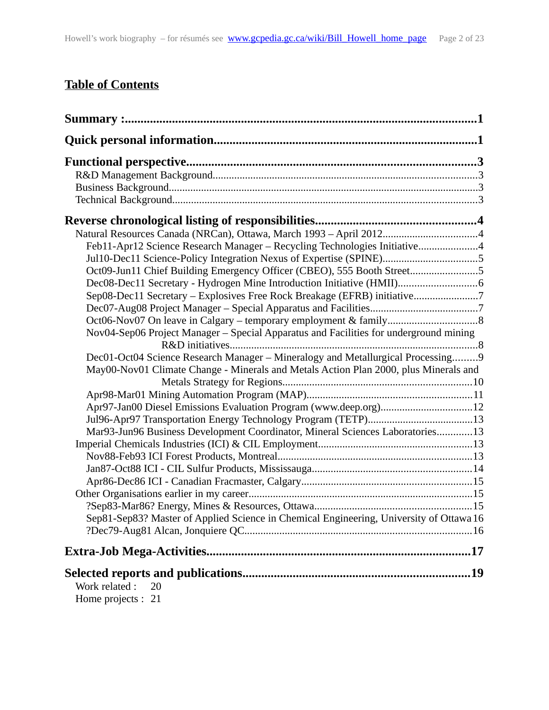# **Table of Contents**

| Natural Resources Canada (NRCan), Ottawa, March 1993 - April 20124                      |  |
|-----------------------------------------------------------------------------------------|--|
| Feb11-Apr12 Science Research Manager - Recycling Technologies Initiative4               |  |
| Jul10-Dec11 Science-Policy Integration Nexus of Expertise (SPINE)5                      |  |
| Oct09-Jun11 Chief Building Emergency Officer (CBEO), 555 Booth Street5                  |  |
| Dec08-Dec11 Secretary - Hydrogen Mine Introduction Initiative (HMII)6                   |  |
| Sep08-Dec11 Secretary - Explosives Free Rock Breakage (EFRB) initiative7                |  |
|                                                                                         |  |
|                                                                                         |  |
| Nov04-Sep06 Project Manager – Special Apparatus and Facilities for underground mining   |  |
|                                                                                         |  |
| Dec01-Oct04 Science Research Manager - Mineralogy and Metallurgical Processing9         |  |
| May00-Nov01 Climate Change - Minerals and Metals Action Plan 2000, plus Minerals and    |  |
|                                                                                         |  |
|                                                                                         |  |
| Apr97-Jan00 Diesel Emissions Evaluation Program (www.deep.org)12                        |  |
| Mar93-Jun96 Business Development Coordinator, Mineral Sciences Laboratories13           |  |
|                                                                                         |  |
|                                                                                         |  |
|                                                                                         |  |
|                                                                                         |  |
|                                                                                         |  |
|                                                                                         |  |
| Sep81-Sep83? Master of Applied Science in Chemical Engineering, University of Ottawa 16 |  |
|                                                                                         |  |
|                                                                                         |  |
|                                                                                         |  |
| Work related:<br>20                                                                     |  |
| Home projects : 21                                                                      |  |
|                                                                                         |  |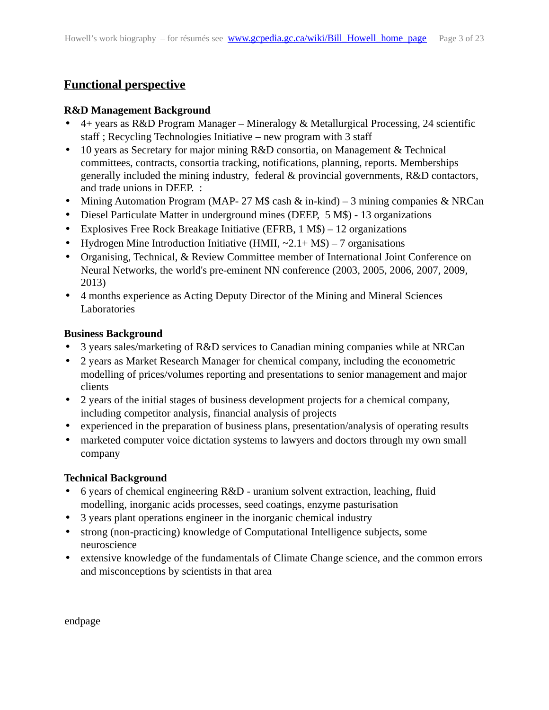## <span id="page-2-3"></span>**Functional perspective**

#### <span id="page-2-2"></span>**R&D Management Background**

- 4+ years as R&D Program Manager Mineralogy & Metallurgical Processing, 24 scientific staff ; Recycling Technologies Initiative – new program with 3 staff
- 10 years as Secretary for major mining R&D consortia, on Management & Technical committees, contracts, consortia tracking, notifications, planning, reports. Memberships generally included the mining industry, federal & provincial governments, R&D contactors, and trade unions in DEEP. :
- Mining Automation Program (MAP- 27 M\$ cash & in-kind) 3 mining companies & NRCan
- Diesel Particulate Matter in underground mines (DEEP, 5 M\$) 13 organizations
- Explosives Free Rock Breakage Initiative (EFRB, 1 M\$) 12 organizations
- Hydrogen Mine Introduction Initiative (HMII,  $\sim$ 2.1+ M\$) 7 organisations
- Organising, Technical, & Review Committee member of International Joint Conference on Neural Networks, the world's pre-eminent NN conference (2003, 2005, 2006, 2007, 2009, 2013)
- 4 months experience as Acting Deputy Director of the Mining and Mineral Sciences **Laboratories**

### <span id="page-2-1"></span>**Business Background**

- 3 years sales/marketing of R&D services to Canadian mining companies while at NRCan
- 2 years as Market Research Manager for chemical company, including the econometric modelling of prices/volumes reporting and presentations to senior management and major clients
- 2 years of the initial stages of business development projects for a chemical company, including competitor analysis, financial analysis of projects
- experienced in the preparation of business plans, presentation/analysis of operating results
- marketed computer voice dictation systems to lawyers and doctors through my own small company

## <span id="page-2-0"></span>**Technical Background**

- 6 years of chemical engineering R&D uranium solvent extraction, leaching, fluid modelling, inorganic acids processes, seed coatings, enzyme pasturisation
- 3 years plant operations engineer in the inorganic chemical industry
- strong (non-practicing) knowledge of Computational Intelligence subjects, some neuroscience
- extensive knowledge of the fundamentals of Climate Change science, and the common errors and misconceptions by scientists in that area

endpage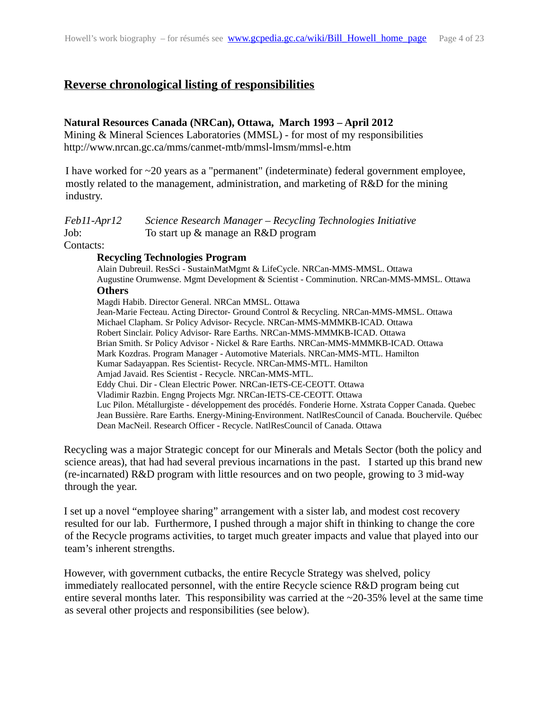## <span id="page-3-2"></span>**Reverse chronological listing of responsibilities**

#### <span id="page-3-1"></span>**Natural Resources Canada (NRCan), Ottawa, March 1993 – April 2012**

Mining & Mineral Sciences Laboratories (MMSL) - for most of my responsibilities http://www.nrcan.gc.ca/mms/canmet-mtb/mmsl-lmsm/mmsl-e.htm

I have worked for ~20 years as a "permanent" (indeterminate) federal government employee, mostly related to the management, administration, and marketing of R&D for the mining industry.

<span id="page-3-0"></span>

| Feb11-Apr12 | Science Research Manager – Recycling Technologies Initiative |
|-------------|--------------------------------------------------------------|
| Job:        | To start up & manage an R&D program                          |

Contacts:

#### **Recycling Technologies Program**

Alain Dubreuil. ResSci - SustainMatMgmt & LifeCycle. NRCan-MMS-MMSL. Ottawa Augustine Orumwense. Mgmt Development & Scientist - Comminution. NRCan-MMS-MMSL. Ottawa **Others**  Magdi Habib. Director General. NRCan MMSL. Ottawa Jean-Marie Fecteau. Acting Director- Ground Control & Recycling. NRCan-MMS-MMSL. Ottawa Michael Clapham. Sr Policy Advisor- Recycle. NRCan-MMS-MMMKB-ICAD. Ottawa Robert Sinclair. Policy Advisor- Rare Earths. NRCan-MMS-MMMKB-ICAD. Ottawa Brian Smith. Sr Policy Advisor - Nickel & Rare Earths. NRCan-MMS-MMMKB-ICAD. Ottawa Mark Kozdras. Program Manager - Automotive Materials. NRCan-MMS-MTL. Hamilton Kumar Sadayappan. Res Scientist- Recycle. NRCan-MMS-MTL. Hamilton Amjad Javaid. Res Scientist - Recycle. NRCan-MMS-MTL. Eddy Chui. Dir - Clean Electric Power. NRCan-IETS-CE-CEOTT. Ottawa Vladimir Razbin. Engng Projects Mgr. NRCan-IETS-CE-CEOTT. Ottawa Luc Pilon. Métallurgiste - développement des procédés. Fonderie Horne. Xstrata Copper Canada. Quebec Jean Bussière. Rare Earths. Energy-Mining-Environment. NatlResCouncil of Canada. Bouchervile. Québec Dean MacNeil. Research Officer - Recycle. NatlResCouncil of Canada. Ottawa

Recycling was a major Strategic concept for our Minerals and Metals Sector (both the policy and science areas), that had had several previous incarnations in the past. I started up this brand new (re-incarnated) R&D program with little resources and on two people, growing to 3 mid-way through the year.

I set up a novel "employee sharing" arrangement with a sister lab, and modest cost recovery resulted for our lab. Furthermore, I pushed through a major shift in thinking to change the core of the Recycle programs activities, to target much greater impacts and value that played into our team's inherent strengths.

However, with government cutbacks, the entire Recycle Strategy was shelved, policy immediately reallocated personnel, with the entire Recycle science R&D program being cut entire several months later. This responsibility was carried at the  $\sim$ 20-35% level at the same time as several other projects and responsibilities (see below).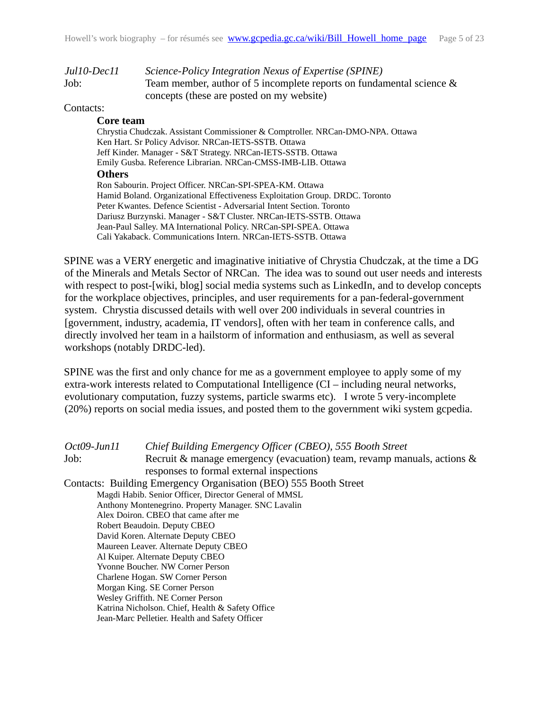<span id="page-4-1"></span>

| Jul10-Dec11 | Science-Policy Integration Nexus of Expertise (SPINE)                |
|-------------|----------------------------------------------------------------------|
| Job:        | Team member, author of 5 incomplete reports on fundamental science & |
|             | concepts (these are posted on my website)                            |

#### Contacts:

#### **Core team**

Chrystia Chudczak. Assistant Commissioner & Comptroller. NRCan-DMO-NPA. Ottawa Ken Hart. Sr Policy Advisor. NRCan-IETS-SSTB. Ottawa Jeff Kinder. Manager - S&T Strategy. NRCan-IETS-SSTB. Ottawa Emily Gusba. Reference Librarian. NRCan-CMSS-IMB-LIB. Ottawa **Others**

Ron Sabourin. Project Officer. NRCan-SPI-SPEA-KM. Ottawa Hamid Boland. Organizational Effectiveness Exploitation Group. DRDC. Toronto Peter Kwantes. Defence Scientist - Adversarial Intent Section. Toronto Dariusz Burzynski. Manager - S&T Cluster. NRCan-IETS-SSTB. Ottawa Jean-Paul Salley. MA International Policy. NRCan-SPI-SPEA. Ottawa Cali Yakaback. Communications Intern. NRCan-IETS-SSTB. Ottawa

SPINE was a VERY energetic and imaginative initiative of Chrystia Chudczak, at the time a DG of the Minerals and Metals Sector of NRCan. The idea was to sound out user needs and interests with respect to post-[wiki, blog] social media systems such as LinkedIn, and to develop concepts for the workplace objectives, principles, and user requirements for a pan-federal-government system. Chrystia discussed details with well over 200 individuals in several countries in [government, industry, academia, IT vendors], often with her team in conference calls, and directly involved her team in a hailstorm of information and enthusiasm, as well as several workshops (notably DRDC-led).

SPINE was the first and only chance for me as a government employee to apply some of my extra-work interests related to Computational Intelligence (CI – including neural networks, evolutionary computation, fuzzy systems, particle swarms etc). I wrote 5 very-incomplete (20%) reports on social media issues, and posted them to the government wiki system gcpedia.

<span id="page-4-0"></span>

| Oct09-Jun11 | Chief Building Emergency Officer (CBEO), 555 Booth Street               |
|-------------|-------------------------------------------------------------------------|
| Job:        | Recruit & manage emergency (evacuation) team, revamp manuals, actions & |
|             | responses to formal external inspections                                |
|             | Contacts: Building Emergency Organisation (BEO) 555 Booth Street        |
|             | Magdi Habib. Senior Officer, Director General of MMSL                   |
|             | Anthony Montenegrino. Property Manager. SNC Lavalin                     |
|             | Alex Doiron. CBEO that came after me                                    |
|             | Robert Beaudoin. Deputy CBEO                                            |
|             | David Koren. Alternate Deputy CBEO                                      |
|             | Maureen Leaver. Alternate Deputy CBEO                                   |
|             | Al Kuiper. Alternate Deputy CBEO                                        |
|             | Yvonne Boucher. NW Corner Person                                        |
|             | Charlene Hogan. SW Corner Person                                        |
|             | Morgan King. SE Corner Person                                           |
|             | Wesley Griffith. NE Corner Person                                       |
|             | Katrina Nicholson. Chief, Health & Safety Office                        |
|             | Jean-Marc Pelletier. Health and Safety Officer                          |
|             |                                                                         |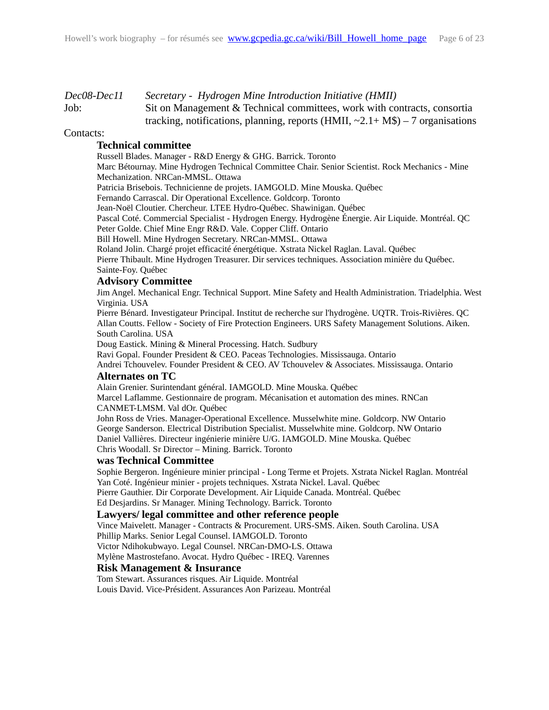<span id="page-5-0"></span>

| Dec08-Dec11 | Secretary - Hydrogen Mine Introduction Initiative (HMII)                             |
|-------------|--------------------------------------------------------------------------------------|
| Job:        | Sit on Management & Technical committees, work with contracts, consortia             |
|             | tracking, notifications, planning, reports (HMII, $\sim$ 2.1+ M\$) – 7 organisations |

#### Contacts:

#### **Technical committee**

Russell Blades. Manager - R&D Energy & GHG. Barrick. Toronto Marc Bétournay. Mine Hydrogen Technical Committee Chair. Senior Scientist. Rock Mechanics - Mine Mechanization. NRCan-MMSL. Ottawa Patricia Brisebois. Technicienne de projets. IAMGOLD. Mine Mouska. Québec Fernando Carrascal. Dir Operational Excellence. Goldcorp. Toronto Jean-Noël Cloutier. Chercheur. LTEE Hydro-Québec. Shawinigan. Québec Pascal Coté. Commercial Specialist - Hydrogen Energy. Hydrogène Énergie. Air Liquide. Montréal. QC Peter Golde. Chief Mine Engr R&D. Vale. Copper Cliff. Ontario Bill Howell. Mine Hydrogen Secretary. NRCan-MMSL. Ottawa Roland Jolin. Chargé projet efficacité énergétique. Xstrata Nickel Raglan. Laval. Québec Pierre Thibault. Mine Hydrogen Treasurer. Dir services techniques. Association minière du Québec. Sainte-Foy. Québec

#### **Advisory Committee**

Jim Angel. Mechanical Engr. Technical Support. Mine Safety and Health Administration. Triadelphia. West Virginia. USA

Pierre Bénard. Investigateur Principal. Institut de recherche sur l'hydrogène. UQTR. Trois-Rivières. QC Allan Coutts. Fellow - Society of Fire Protection Engineers. URS Safety Management Solutions. Aiken. South Carolina. USA

Doug Eastick. Mining & Mineral Processing. Hatch. Sudbury

Ravi Gopal. Founder President & CEO. Paceas Technologies. Mississauga. Ontario

Andrei Tchouvelev. Founder President & CEO. AV Tchouvelev & Associates. Mississauga. Ontario **Alternates on TC**

Alain Grenier. Surintendant général. IAMGOLD. Mine Mouska. Québec Marcel Laflamme. Gestionnaire de program. Mécanisation et automation des mines. RNCan CANMET-LMSM. Val dOr. Québec

John Ross de Vries. Manager-Operational Excellence. Musselwhite mine. Goldcorp. NW Ontario George Sanderson. Electrical Distribution Specialist. Musselwhite mine. Goldcorp. NW Ontario Daniel Vallières. Directeur ingénierie minière U/G. IAMGOLD. Mine Mouska. Québec Chris Woodall. Sr Director – Mining. Barrick. Toronto

#### **was Technical Committee**

Sophie Bergeron. Ingénieure minier principal - Long Terme et Projets. Xstrata Nickel Raglan. Montréal Yan Coté. Ingénieur minier - projets techniques. Xstrata Nickel. Laval. Québec Pierre Gauthier. Dir Corporate Development. Air Liquide Canada. Montréal. Québec

Ed Desjardins. Sr Manager. Mining Technology. Barrick. Toronto

#### **Lawyers/ legal committee and other reference people**

Vince Maivelett. Manager - Contracts & Procurement. URS-SMS. Aiken. South Carolina. USA Phillip Marks. Senior Legal Counsel. IAMGOLD. Toronto Victor Ndihokubwayo. Legal Counsel. NRCan-DMO-LS. Ottawa Mylène Mastrostefano. Avocat. Hydro Québec - IREQ. Varennes

#### **Risk Management & Insurance**

Tom Stewart. Assurances risques. Air Liquide. Montréal Louis David. Vice-Président. Assurances Aon Parizeau. Montréal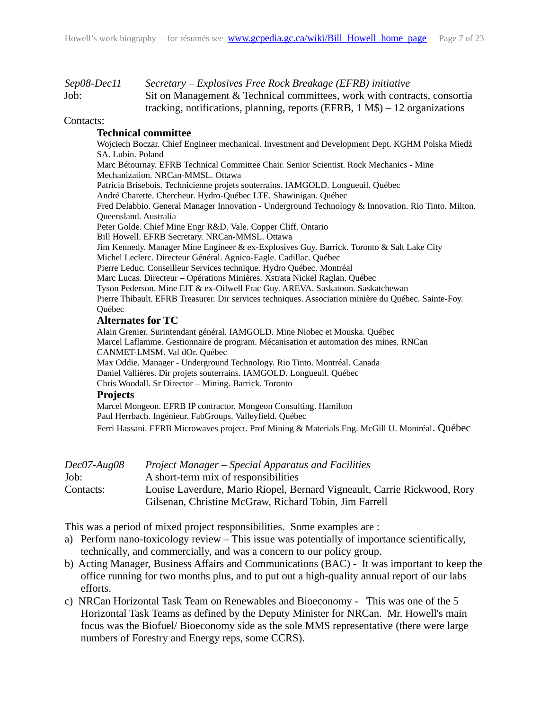<span id="page-6-1"></span>

| Sep08-Dec11 | Secretary – Explosives Free Rock Breakage (EFRB) initiative                   |
|-------------|-------------------------------------------------------------------------------|
| Job:        | Sit on Management & Technical committees, work with contracts, consortia      |
|             | tracking, notifications, planning, reports (EFRB, $1 M$$ ) – 12 organizations |

#### Contacts:

#### **Technical committee**

Wojciech Boczar. Chief Engineer mechanical. Investment and Development Dept. KGHM Polska Miedź SA. Lubin. Poland Marc Bétournay. EFRB Technical Committee Chair. Senior Scientist. Rock Mechanics - Mine Mechanization. NRCan-MMSL. Ottawa Patricia Brisebois. Technicienne projets souterrains. IAMGOLD. Longueuil. Québec André Charette. Chercheur. Hydro-Québec LTE. Shawinigan. Québec Fred Delabbio. General Manager Innovation - Underground Technology & Innovation. Rio Tinto. Milton. Queensland. Australia Peter Golde. Chief Mine Engr R&D. Vale. Copper Cliff. Ontario Bill Howell. EFRB Secretary. NRCan-MMSL. Ottawa Jim Kennedy. Manager Mine Engineer & ex-Explosives Guy. Barrick. Toronto & Salt Lake City Michel Leclerc. Directeur Général. Agnico-Eagle. Cadillac. Québec Pierre Leduc. Conseilleur Services technique. Hydro Québec. Montréal Marc Lucas. Directeur – Opérations Minières. Xstrata Nickel Raglan. Québec Tyson Pederson. Mine EIT & ex-Oilwell Frac Guy. AREVA. Saskatoon. Saskatchewan Pierre Thibault. EFRB Treasurer. Dir services techniques. Association minière du Québec. Sainte-Foy. Québec **Alternates for TC** Alain Grenier. Surintendant général. IAMGOLD. Mine Niobec et Mouska. Québec

Marcel Laflamme. Gestionnaire de program. Mécanisation et automation des mines. RNCan CANMET-LMSM. Val dOr. Québec Max Oddie. Manager - Underground Technology. Rio Tinto. Montréal. Canada Daniel Vallières. Dir projets souterrains. IAMGOLD. Longueuil. Québec Chris Woodall. Sr Director – Mining. Barrick. Toronto **Projects**

#### Marcel Mongeon. EFRB IP contractor. Mongeon Consulting. Hamilton Paul Herrbach. Ingénieur. FabGroups. Valleyfield. Québec Ferri Hassani. EFRB Microwaves project. Prof Mining & Materials Eng. McGill U. Montréal. Québec

<span id="page-6-0"></span>

| Dec07-Aug08 | Project Manager – Special Apparatus and Facilities                       |
|-------------|--------------------------------------------------------------------------|
| Job:        | A short-term mix of responsibilities                                     |
| Contacts:   | Louise Laverdure, Mario Riopel, Bernard Vigneault, Carrie Rickwood, Rory |
|             | Gilsenan, Christine McGraw, Richard Tobin, Jim Farrell                   |

This was a period of mixed project responsibilities. Some examples are :

- a) Perform nano-toxicology review This issue was potentially of importance scientifically, technically, and commercially, and was a concern to our policy group.
- b) Acting Manager, Business Affairs and Communications (BAC) It was important to keep the office running for two months plus, and to put out a high-quality annual report of our labs efforts.
- c) NRCan Horizontal Task Team on Renewables and Bioeconomy This was one of the 5 Horizontal Task Teams as defined by the Deputy Minister for NRCan. Mr. Howell's main focus was the Biofuel/ Bioeconomy side as the sole MMS representative (there were large numbers of Forestry and Energy reps, some CCRS).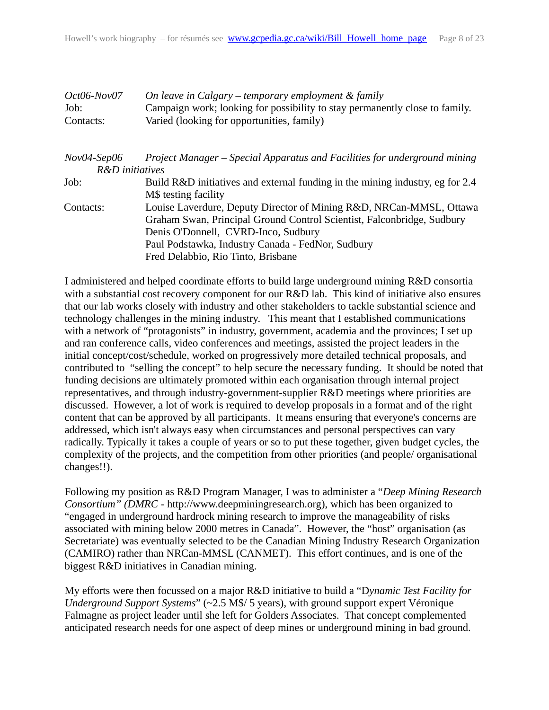<span id="page-7-1"></span><span id="page-7-0"></span>

| $Oct06-Nov07$<br>Job:<br>Contacts: | On leave in Calgary – temporary employment & family<br>Campaign work; looking for possibility to stay permanently close to family.<br>Varied (looking for opportunities, family)                                                                                                |
|------------------------------------|---------------------------------------------------------------------------------------------------------------------------------------------------------------------------------------------------------------------------------------------------------------------------------|
| $Nov04-Sep06$<br>R&D initiatives   | Project Manager – Special Apparatus and Facilities for underground mining                                                                                                                                                                                                       |
| Job:                               | Build R&D initiatives and external funding in the mining industry, eg for 2.4<br>M\$ testing facility                                                                                                                                                                           |
| Contacts:                          | Louise Laverdure, Deputy Director of Mining R&D, NRCan-MMSL, Ottawa<br>Graham Swan, Principal Ground Control Scientist, Falconbridge, Sudbury<br>Denis O'Donnell, CVRD-Inco, Sudbury<br>Paul Podstawka, Industry Canada - FedNor, Sudbury<br>Fred Delabbio, Rio Tinto, Brisbane |

I administered and helped coordinate efforts to build large underground mining R&D consortia with a substantial cost recovery component for our R&D lab. This kind of initiative also ensures that our lab works closely with industry and other stakeholders to tackle substantial science and technology challenges in the mining industry. This meant that I established communications with a network of "protagonists" in industry, government, academia and the provinces; I set up and ran conference calls, video conferences and meetings, assisted the project leaders in the initial concept/cost/schedule, worked on progressively more detailed technical proposals, and contributed to "selling the concept" to help secure the necessary funding. It should be noted that funding decisions are ultimately promoted within each organisation through internal project representatives, and through industry-government-supplier R&D meetings where priorities are discussed. However, a lot of work is required to develop proposals in a format and of the right content that can be approved by all participants. It means ensuring that everyone's concerns are addressed, which isn't always easy when circumstances and personal perspectives can vary radically. Typically it takes a couple of years or so to put these together, given budget cycles, the complexity of the projects, and the competition from other priorities (and people/ organisational changes!!).

Following my position as R&D Program Manager, I was to administer a "*Deep Mining Research Consortium" (DMRC* - http://www.deepminingresearch.org), which has been organized to "engaged in underground hardrock mining research to improve the manageability of risks associated with mining below 2000 metres in Canada". However, the "host" organisation (as Secretariate) was eventually selected to be the Canadian Mining Industry Research Organization (CAMIRO) rather than NRCan-MMSL (CANMET). This effort continues, and is one of the biggest R&D initiatives in Canadian mining.

My efforts were then focussed on a major R&D initiative to build a "D*ynamic Test Facility for Underground Support Systems*" (~2.5 M\$/ 5 years), with ground support expert Véronique Falmagne as project leader until she left for Golders Associates. That concept complemented anticipated research needs for one aspect of deep mines or underground mining in bad ground.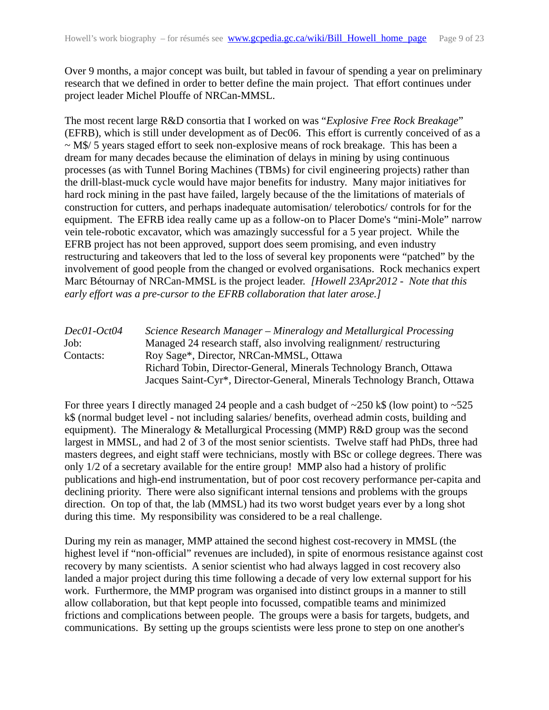Over 9 months, a major concept was built, but tabled in favour of spending a year on preliminary research that we defined in order to better define the main project. That effort continues under project leader Michel Plouffe of NRCan-MMSL.

The most recent large R&D consortia that I worked on was "*Explosive Free Rock Breakage*" (EFRB), which is still under development as of Dec06. This effort is currently conceived of as a  $\sim$  M\$/ 5 years staged effort to seek non-explosive means of rock breakage. This has been a dream for many decades because the elimination of delays in mining by using continuous processes (as with Tunnel Boring Machines (TBMs) for civil engineering projects) rather than the drill-blast-muck cycle would have major benefits for industry. Many major initiatives for hard rock mining in the past have failed, largely because of the the limitations of materials of construction for cutters, and perhaps inadequate automisation/ telerobotics/ controls for for the equipment. The EFRB idea really came up as a follow-on to Placer Dome's "mini-Mole" narrow vein tele-robotic excavator, which was amazingly successful for a 5 year project. While the EFRB project has not been approved, support does seem promising, and even industry restructuring and takeovers that led to the loss of several key proponents were "patched" by the involvement of good people from the changed or evolved organisations. Rock mechanics expert Marc Bétournay of NRCan-MMSL is the project leader. *[Howell 23Apr2012 - Note that this early effort was a pre-cursor to the EFRB collaboration that later arose.]*

<span id="page-8-0"></span>

| Dec01-Oct04 | Science Research Manager – Mineralogy and Metallurgical Processing       |
|-------------|--------------------------------------------------------------------------|
| Job:        | Managed 24 research staff, also involving realignment/restructuring      |
| Contacts:   | Roy Sage*, Director, NRCan-MMSL, Ottawa                                  |
|             | Richard Tobin, Director-General, Minerals Technology Branch, Ottawa      |
|             | Jacques Saint-Cyr*, Director-General, Minerals Technology Branch, Ottawa |

For three years I directly managed 24 people and a cash budget of  $\sim$ 250 k\$ (low point) to  $\sim$ 525 k\$ (normal budget level - not including salaries/ benefits, overhead admin costs, building and equipment). The Mineralogy & Metallurgical Processing (MMP) R&D group was the second largest in MMSL, and had 2 of 3 of the most senior scientists. Twelve staff had PhDs, three had masters degrees, and eight staff were technicians, mostly with BSc or college degrees. There was only 1/2 of a secretary available for the entire group! MMP also had a history of prolific publications and high-end instrumentation, but of poor cost recovery performance per-capita and declining priority. There were also significant internal tensions and problems with the groups direction. On top of that, the lab (MMSL) had its two worst budget years ever by a long shot during this time. My responsibility was considered to be a real challenge.

During my rein as manager, MMP attained the second highest cost-recovery in MMSL (the highest level if "non-official" revenues are included), in spite of enormous resistance against cost recovery by many scientists. A senior scientist who had always lagged in cost recovery also landed a major project during this time following a decade of very low external support for his work. Furthermore, the MMP program was organised into distinct groups in a manner to still allow collaboration, but that kept people into focussed, compatible teams and minimized frictions and complications between people. The groups were a basis for targets, budgets, and communications. By setting up the groups scientists were less prone to step on one another's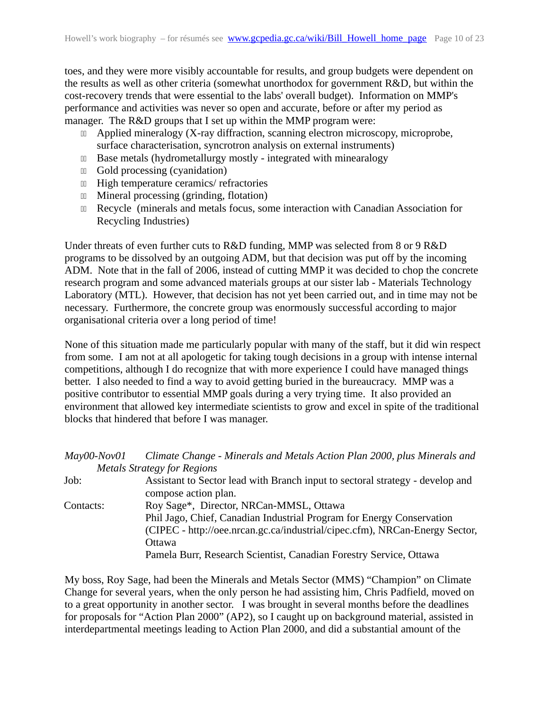toes, and they were more visibly accountable for results, and group budgets were dependent on the results as well as other criteria (somewhat unorthodox for government R&D, but within the cost-recovery trends that were essential to the labs' overall budget). Information on MMP's performance and activities was never so open and accurate, before or after my period as manager. The R&D groups that I set up within the MMP program were:

- **III** Applied mineralogy (X-ray diffraction, scanning electron microscopy, microprobe, surface characterisation, syncrotron analysis on external instruments)
- **III** Base metals (hydrometallurgy mostly integrated with minearalogy
- 11 Gold processing (cyanidation)
- **111 High temperature ceramics/ refractories**
- **III** Mineral processing (grinding, flotation)
- 11 Recycle (minerals and metals focus, some interaction with Canadian Association for Recycling Industries)

Under threats of even further cuts to R&D funding, MMP was selected from 8 or 9 R&D programs to be dissolved by an outgoing ADM, but that decision was put off by the incoming ADM. Note that in the fall of 2006, instead of cutting MMP it was decided to chop the concrete research program and some advanced materials groups at our sister lab - Materials Technology Laboratory (MTL). However, that decision has not yet been carried out, and in time may not be necessary. Furthermore, the concrete group was enormously successful according to major organisational criteria over a long period of time!

None of this situation made me particularly popular with many of the staff, but it did win respect from some. I am not at all apologetic for taking tough decisions in a group with intense internal competitions, although I do recognize that with more experience I could have managed things better. I also needed to find a way to avoid getting buried in the bureaucracy. MMP was a positive contributor to essential MMP goals during a very trying time. It also provided an environment that allowed key intermediate scientists to grow and excel in spite of the traditional blocks that hindered that before I was manager.

<span id="page-9-0"></span>

| $May00-Nov01$ | Climate Change - Minerals and Metals Action Plan 2000, plus Minerals and      |
|---------------|-------------------------------------------------------------------------------|
|               | <b>Metals Strategy for Regions</b>                                            |
| Job:          | Assistant to Sector lead with Branch input to sectoral strategy - develop and |
|               | compose action plan.                                                          |
| Contacts:     | Roy Sage*, Director, NRCan-MMSL, Ottawa                                       |
|               | Phil Jago, Chief, Canadian Industrial Program for Energy Conservation         |
|               | (CIPEC - http://oee.nrcan.gc.ca/industrial/cipec.cfm), NRCan-Energy Sector,   |
|               | Ottawa                                                                        |
|               | Pamela Burr, Research Scientist, Canadian Forestry Service, Ottawa            |

My boss, Roy Sage, had been the Minerals and Metals Sector (MMS) "Champion" on Climate Change for several years, when the only person he had assisting him, Chris Padfield, moved on to a great opportunity in another sector. I was brought in several months before the deadlines for proposals for "Action Plan 2000" (AP2), so I caught up on background material, assisted in interdepartmental meetings leading to Action Plan 2000, and did a substantial amount of the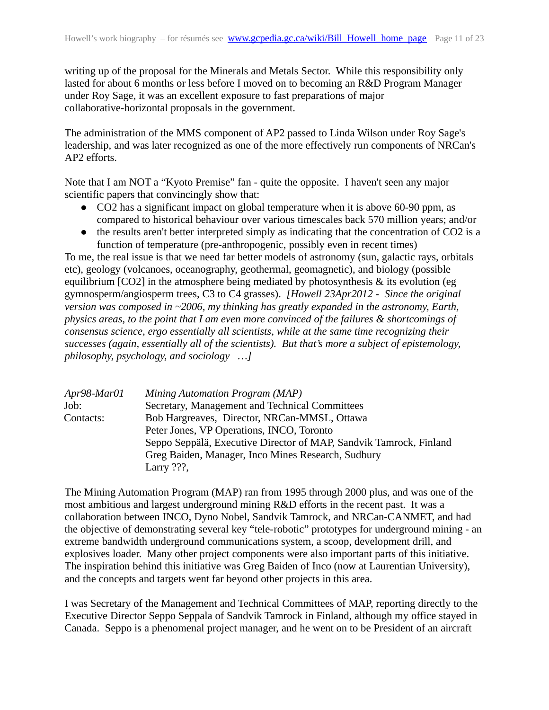writing up of the proposal for the Minerals and Metals Sector. While this responsibility only lasted for about 6 months or less before I moved on to becoming an R&D Program Manager under Roy Sage, it was an excellent exposure to fast preparations of major collaborative-horizontal proposals in the government.

The administration of the MMS component of AP2 passed to Linda Wilson under Roy Sage's leadership, and was later recognized as one of the more effectively run components of NRCan's AP2 efforts.

Note that I am NOT a "Kyoto Premise" fan - quite the opposite. I haven't seen any major scientific papers that convincingly show that:

- CO2 has a significant impact on global temperature when it is above 60-90 ppm, as compared to historical behaviour over various timescales back 570 million years; and/or
- the results aren't better interpreted simply as indicating that the concentration of CO2 is a function of temperature (pre-anthropogenic, possibly even in recent times)

To me, the real issue is that we need far better models of astronomy (sun, galactic rays, orbitals etc), geology (volcanoes, oceanography, geothermal, geomagnetic), and biology (possible equilibrium [CO2] in the atmosphere being mediated by photosynthesis & its evolution (eg gymnosperm/angiosperm trees, C3 to C4 grasses). *[Howell 23Apr2012 - Since the original version was composed in ~2006, my thinking has greatly expanded in the astronomy, Earth, physics areas, to the point that I am even more convinced of the failures & shortcomings of consensus science, ergo essentially all scientists, while at the same time recognizing their successes (again, essentially all of the scientists). But that's more a subject of epistemology, philosophy, psychology, and sociology …]*

<span id="page-10-0"></span>

| Seppo Seppälä, Executive Director of MAP, Sandvik Tamrock, Finland |
|--------------------------------------------------------------------|
|                                                                    |
|                                                                    |
|                                                                    |

The Mining Automation Program (MAP) ran from 1995 through 2000 plus, and was one of the most ambitious and largest underground mining R&D efforts in the recent past. It was a collaboration between INCO, Dyno Nobel, Sandvik Tamrock, and NRCan-CANMET, and had the objective of demonstrating several key "tele-robotic" prototypes for underground mining - an extreme bandwidth underground communications system, a scoop, development drill, and explosives loader. Many other project components were also important parts of this initiative. The inspiration behind this initiative was Greg Baiden of Inco (now at Laurentian University), and the concepts and targets went far beyond other projects in this area.

I was Secretary of the Management and Technical Committees of MAP, reporting directly to the Executive Director Seppo Seppala of Sandvik Tamrock in Finland, although my office stayed in Canada. Seppo is a phenomenal project manager, and he went on to be President of an aircraft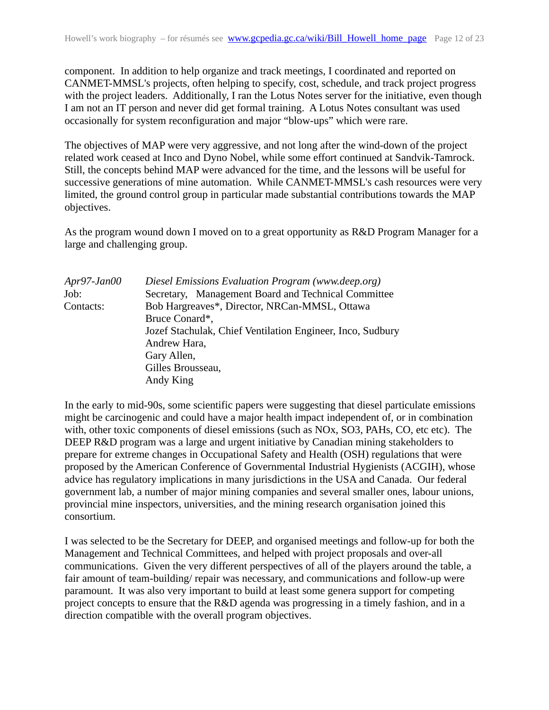component. In addition to help organize and track meetings, I coordinated and reported on CANMET-MMSL's projects, often helping to specify, cost, schedule, and track project progress with the project leaders. Additionally, I ran the Lotus Notes server for the initiative, even though I am not an IT person and never did get formal training. A Lotus Notes consultant was used occasionally for system reconfiguration and major "blow-ups" which were rare.

The objectives of MAP were very aggressive, and not long after the wind-down of the project related work ceased at Inco and Dyno Nobel, while some effort continued at Sandvik-Tamrock. Still, the concepts behind MAP were advanced for the time, and the lessons will be useful for successive generations of mine automation. While CANMET-MMSL's cash resources were very limited, the ground control group in particular made substantial contributions towards the MAP objectives.

As the program wound down I moved on to a great opportunity as R&D Program Manager for a large and challenging group.

<span id="page-11-0"></span>

| Diesel Emissions Evaluation Program (www.deep.org)         |
|------------------------------------------------------------|
| Secretary, Management Board and Technical Committee        |
| Bob Hargreaves*, Director, NRCan-MMSL, Ottawa              |
| Bruce Conard*,                                             |
| Jozef Stachulak, Chief Ventilation Engineer, Inco, Sudbury |
| Andrew Hara,                                               |
| Gary Allen,                                                |
| Gilles Brousseau,                                          |
| Andy King                                                  |
|                                                            |

In the early to mid-90s, some scientific papers were suggesting that diesel particulate emissions might be carcinogenic and could have a major health impact independent of, or in combination with, other toxic components of diesel emissions (such as NOx, SO3, PAHs, CO, etc etc). The DEEP R&D program was a large and urgent initiative by Canadian mining stakeholders to prepare for extreme changes in Occupational Safety and Health (OSH) regulations that were proposed by the American Conference of Governmental Industrial Hygienists (ACGIH), whose advice has regulatory implications in many jurisdictions in the USA and Canada. Our federal government lab, a number of major mining companies and several smaller ones, labour unions, provincial mine inspectors, universities, and the mining research organisation joined this consortium.

I was selected to be the Secretary for DEEP, and organised meetings and follow-up for both the Management and Technical Committees, and helped with project proposals and over-all communications. Given the very different perspectives of all of the players around the table, a fair amount of team-building/ repair was necessary, and communications and follow-up were paramount. It was also very important to build at least some genera support for competing project concepts to ensure that the R&D agenda was progressing in a timely fashion, and in a direction compatible with the overall program objectives.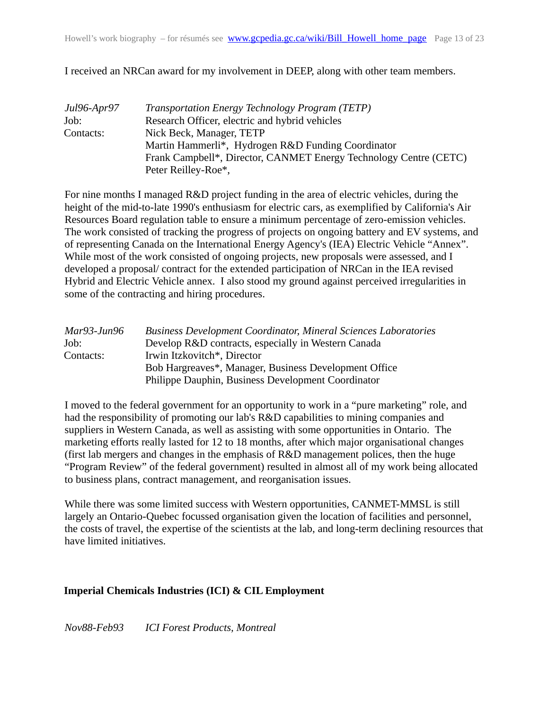I received an NRCan award for my involvement in DEEP, along with other team members.

<span id="page-12-3"></span>

| Jul96-Apr97 | Transportation Energy Technology Program (TETP)                   |  |  |  |
|-------------|-------------------------------------------------------------------|--|--|--|
| Job:        | Research Officer, electric and hybrid vehicles                    |  |  |  |
| Contacts:   | Nick Beck, Manager, TETP                                          |  |  |  |
|             | Martin Hammerli*, Hydrogen R&D Funding Coordinator                |  |  |  |
|             | Frank Campbell*, Director, CANMET Energy Technology Centre (CETC) |  |  |  |
|             | Peter Reilley-Roe*,                                               |  |  |  |

For nine months I managed R&D project funding in the area of electric vehicles, during the height of the mid-to-late 1990's enthusiasm for electric cars, as exemplified by California's Air Resources Board regulation table to ensure a minimum percentage of zero-emission vehicles. The work consisted of tracking the progress of projects on ongoing battery and EV systems, and of representing Canada on the International Energy Agency's (IEA) Electric Vehicle "Annex". While most of the work consisted of ongoing projects, new proposals were assessed, and I developed a proposal/ contract for the extended participation of NRCan in the IEA revised Hybrid and Electric Vehicle annex. I also stood my ground against perceived irregularities in some of the contracting and hiring procedures.

<span id="page-12-2"></span>

| Mar93-Jun96 | <b>Business Development Coordinator, Mineral Sciences Laboratories</b> |  |  |  |
|-------------|------------------------------------------------------------------------|--|--|--|
| Job:        | Develop R&D contracts, especially in Western Canada                    |  |  |  |
| Contacts:   | Irwin Itzkovitch*, Director                                            |  |  |  |
|             | Bob Hargreaves*, Manager, Business Development Office                  |  |  |  |
|             | Philippe Dauphin, Business Development Coordinator                     |  |  |  |

I moved to the federal government for an opportunity to work in a "pure marketing" role, and had the responsibility of promoting our lab's R&D capabilities to mining companies and suppliers in Western Canada, as well as assisting with some opportunities in Ontario. The marketing efforts really lasted for 12 to 18 months, after which major organisational changes (first lab mergers and changes in the emphasis of R&D management polices, then the huge "Program Review" of the federal government) resulted in almost all of my work being allocated to business plans, contract management, and reorganisation issues.

While there was some limited success with Western opportunities, CANMET-MMSL is still largely an Ontario-Quebec focussed organisation given the location of facilities and personnel, the costs of travel, the expertise of the scientists at the lab, and long-term declining resources that have limited initiatives.

#### <span id="page-12-1"></span>**Imperial Chemicals Industries (ICI) & CIL Employment**

<span id="page-12-0"></span>*Nov88-Feb93 ICI Forest Products, Montreal*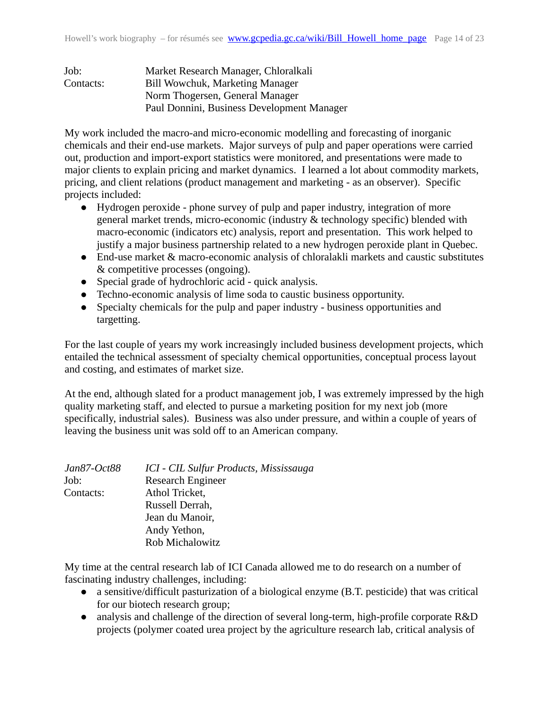| Job:      | Market Research Manager, Chloralkali       |  |  |
|-----------|--------------------------------------------|--|--|
| Contacts: | Bill Wowchuk, Marketing Manager            |  |  |
|           | Norm Thogersen, General Manager            |  |  |
|           | Paul Donnini, Business Development Manager |  |  |

My work included the macro-and micro-economic modelling and forecasting of inorganic chemicals and their end-use markets. Major surveys of pulp and paper operations were carried out, production and import-export statistics were monitored, and presentations were made to major clients to explain pricing and market dynamics. I learned a lot about commodity markets, pricing, and client relations (product management and marketing - as an observer). Specific projects included:

- Hydrogen peroxide phone survey of pulp and paper industry, integration of more general market trends, micro-economic (industry & technology specific) blended with macro-economic (indicators etc) analysis, report and presentation. This work helped to justify a major business partnership related to a new hydrogen peroxide plant in Quebec.
- End-use market & macro-economic analysis of chloralakli markets and caustic substitutes & competitive processes (ongoing).
- Special grade of hydrochloric acid quick analysis.
- Techno-economic analysis of lime soda to caustic business opportunity.
- Specialty chemicals for the pulp and paper industry business opportunities and targetting.

For the last couple of years my work increasingly included business development projects, which entailed the technical assessment of specialty chemical opportunities, conceptual process layout and costing, and estimates of market size.

At the end, although slated for a product management job, I was extremely impressed by the high quality marketing staff, and elected to pursue a marketing position for my next job (more specifically, industrial sales). Business was also under pressure, and within a couple of years of leaving the business unit was sold off to an American company.

<span id="page-13-0"></span>

| Jan87-Oct88 | ICI - CIL Sulfur Products, Mississauga |
|-------------|----------------------------------------|
| Job:        | <b>Research Engineer</b>               |
| Contacts:   | Athol Tricket,                         |
|             | Russell Derrah,                        |
|             | Jean du Manoir,                        |
|             | Andy Yethon,                           |
|             | Rob Michalowitz                        |

My time at the central research lab of ICI Canada allowed me to do research on a number of fascinating industry challenges, including:

- a sensitive/difficult pasturization of a biological enzyme (B.T. pesticide) that was critical for our biotech research group;
- analysis and challenge of the direction of several long-term, high-profile corporate R&D projects (polymer coated urea project by the agriculture research lab, critical analysis of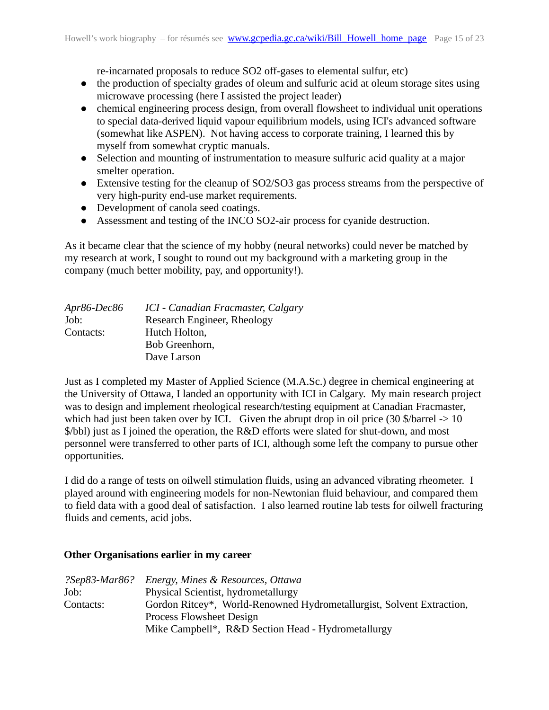re-incarnated proposals to reduce SO2 off-gases to elemental sulfur, etc)

- the production of specialty grades of oleum and sulfuric acid at oleum storage sites using microwave processing (here I assisted the project leader)
- chemical engineering process design, from overall flowsheet to individual unit operations to special data-derived liquid vapour equilibrium models, using ICI's advanced software (somewhat like ASPEN). Not having access to corporate training, I learned this by myself from somewhat cryptic manuals.
- Selection and mounting of instrumentation to measure sulfuric acid quality at a major smelter operation.
- Extensive testing for the cleanup of SO2/SO3 gas process streams from the perspective of very high-purity end-use market requirements.
- Development of canola seed coatings.
- Assessment and testing of the INCO SO2-air process for cyanide destruction.

As it became clear that the science of my hobby (neural networks) could never be matched by my research at work, I sought to round out my background with a marketing group in the company (much better mobility, pay, and opportunity!).

<span id="page-14-2"></span>

| Apr86-Dec86 | ICI - Canadian Fracmaster, Calgary |
|-------------|------------------------------------|
| Job:        | Research Engineer, Rheology        |
| Contacts:   | Hutch Holton,                      |
|             | Bob Greenhorn,                     |
|             | Dave Larson                        |

Just as I completed my Master of Applied Science (M.A.Sc.) degree in chemical engineering at the University of Ottawa, I landed an opportunity with ICI in Calgary. My main research project was to design and implement rheological research/testing equipment at Canadian Fracmaster, which had just been taken over by ICI. Given the abrupt drop in oil price (30 \$/barrel  $\rightarrow$  10 \$/bbl) just as I joined the operation, the R&D efforts were slated for shut-down, and most personnel were transferred to other parts of ICI, although some left the company to pursue other opportunities.

I did do a range of tests on oilwell stimulation fluids, using an advanced vibrating rheometer. I played around with engineering models for non-Newtonian fluid behaviour, and compared them to field data with a good deal of satisfaction. I also learned routine lab tests for oilwell fracturing fluids and cements, acid jobs.

## <span id="page-14-1"></span>**Other Organisations earlier in my career**

<span id="page-14-0"></span>

| ?Sep83-Mar86? | Energy, Mines & Resources, Ottawa                                     |  |  |  |
|---------------|-----------------------------------------------------------------------|--|--|--|
| Job:          | Physical Scientist, hydrometallurgy                                   |  |  |  |
| Contacts:     | Gordon Ritcey*, World-Renowned Hydrometallurgist, Solvent Extraction, |  |  |  |
|               | Process Flowsheet Design                                              |  |  |  |
|               | Mike Campbell*, R&D Section Head - Hydrometallurgy                    |  |  |  |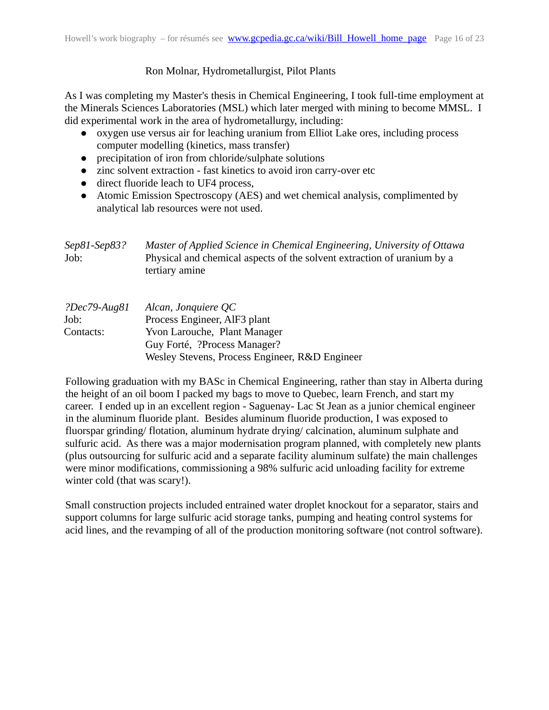#### Ron Molnar, Hydrometallurgist, Pilot Plants

As I was completing my Master's thesis in Chemical Engineering, I took full-time employment at the Minerals Sciences Laboratories (MSL) which later merged with mining to become MMSL. I did experimental work in the area of hydrometallurgy, including:

- oxygen use versus air for leaching uranium from Elliot Lake ores, including process computer modelling (kinetics, mass transfer)
- precipitation of iron from chloride/sulphate solutions
- zinc solvent extraction fast kinetics to avoid iron carry-over etc
- direct fluoride leach to UF4 process,
- Atomic Emission Spectroscopy (AES) and wet chemical analysis, complimented by analytical lab resources were not used.

<span id="page-15-1"></span><span id="page-15-0"></span>

| $Sep81-Sep83?$<br>Job:               | Master of Applied Science in Chemical Engineering, University of Ottawa<br>Physical and chemical aspects of the solvent extraction of uranium by a<br>tertiary amine  |
|--------------------------------------|-----------------------------------------------------------------------------------------------------------------------------------------------------------------------|
| $?Dec79$ -Aug81<br>Job:<br>Contacts: | Alcan, Jonquiere QC<br>Process Engineer, AlF3 plant<br>Yvon Larouche, Plant Manager<br>Guy Forté, ?Process Manager?<br>Wesley Stevens, Process Engineer, R&D Engineer |

Following graduation with my BASc in Chemical Engineering, rather than stay in Alberta during the height of an oil boom I packed my bags to move to Quebec, learn French, and start my career. I ended up in an excellent region - Saguenay- Lac St Jean as a junior chemical engineer in the aluminum fluoride plant. Besides aluminum fluoride production, I was exposed to fluorspar grinding/ flotation, aluminum hydrate drying/ calcination, aluminum sulphate and sulfuric acid. As there was a major modernisation program planned, with completely new plants (plus outsourcing for sulfuric acid and a separate facility aluminum sulfate) the main challenges were minor modifications, commissioning a 98% sulfuric acid unloading facility for extreme winter cold (that was scary!).

Small construction projects included entrained water droplet knockout for a separator, stairs and support columns for large sulfuric acid storage tanks, pumping and heating control systems for acid lines, and the revamping of all of the production monitoring software (not control software).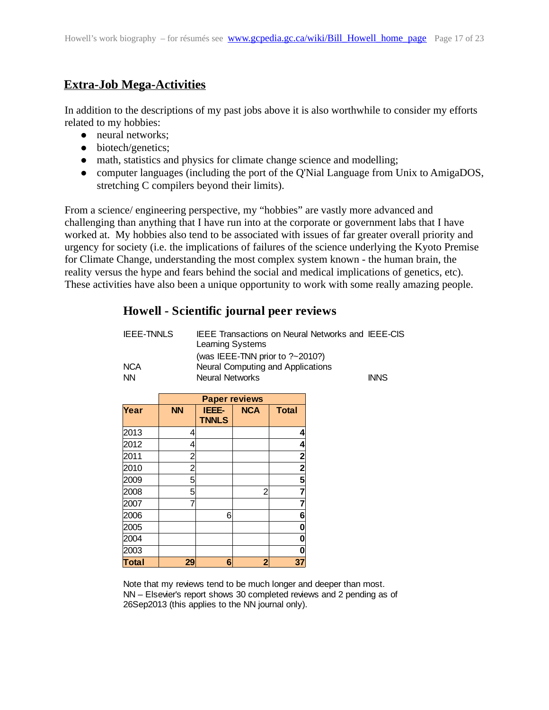## <span id="page-16-0"></span>**Extra-Job Mega-Activities**

In addition to the descriptions of my past jobs above it is also worthwhile to consider my efforts related to my hobbies:

- neural networks:
- biotech/genetics;
- math, statistics and physics for climate change science and modelling;
- computer languages (including the port of the Q'Nial Language from Unix to AmigaDOS, stretching C compilers beyond their limits).

From a science/ engineering perspective, my "hobbies" are vastly more advanced and challenging than anything that I have run into at the corporate or government labs that I have worked at. My hobbies also tend to be associated with issues of far greater overall priority and urgency for society (i.e. the implications of failures of the science underlying the Kyoto Premise for Climate Change, understanding the most complex system known - the human brain, the reality versus the hype and fears behind the social and medical implications of genetics, etc). These activities have also been a unique opportunity to work with some really amazing people.

## **Howell - Scientific journal peer reviews**

| <b>IEEE-TNNLS</b> | <b>IEEE Transactions on Neural Networks and IEEE-CIS</b><br>Learning Systems |             |
|-------------------|------------------------------------------------------------------------------|-------------|
|                   | (was IEEE-TNN prior to $?~2010$ ?)                                           |             |
| <b>NCA</b>        | Neural Computing and Applications                                            |             |
| <b>NN</b>         | <b>Neural Networks</b>                                                       | <b>INNS</b> |

|              | <b>Paper reviews</b> |                       |            |                |
|--------------|----------------------|-----------------------|------------|----------------|
| Year         | <b>NN</b>            | IEEE-<br><b>TNNLS</b> | <b>NCA</b> | <b>Total</b>   |
| 2013         | 4                    |                       |            | 4              |
| 2012         | 4                    |                       |            | 4              |
| 2011         | 2                    |                       |            | $\mathbf{z}$   |
| 2010         | $\overline{c}$       |                       |            | $\overline{2}$ |
| 2009         | 5                    |                       |            | 5              |
| 2008         | 5                    |                       | 2          | 7              |
| 2007         |                      |                       |            | 7              |
| 2006         |                      | 6                     |            | 6              |
| 2005         |                      |                       |            | 0              |
| 2004         |                      |                       |            | በ              |
| 2003         |                      |                       |            |                |
| <b>Total</b> | 29                   | 6                     | 2          | 37             |

Note that my reviews tend to be much longer and deeper than most. NN – Elsevier's report shows 30 completed reviews and 2 pending as of 26Sep2013 (this applies to the NN journal only).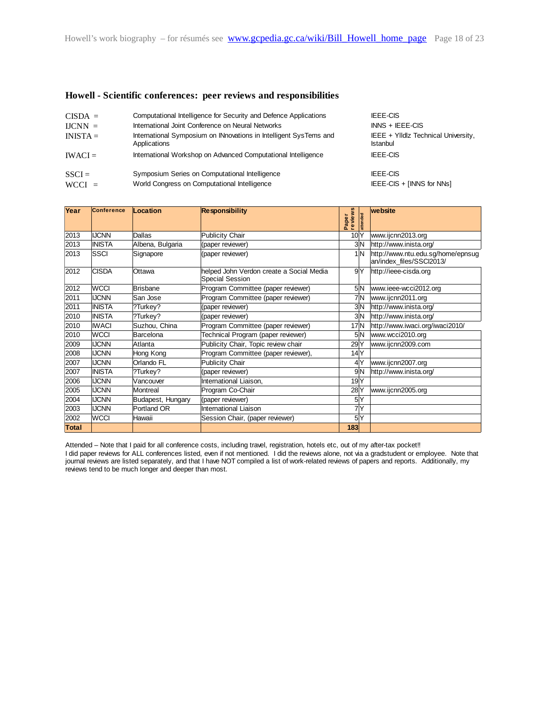#### **Howell - Scientific conferences: peer reviews and responsibilities**

| $CISDA =$  | Computational Intelligence for Security and Defence Applications                  | <b>IEEE-CIS</b>                                        |
|------------|-----------------------------------------------------------------------------------|--------------------------------------------------------|
| $LICNN =$  | International Joint Conference on Neural Networks                                 | $INNS + IEEE-CIS$                                      |
| $INISTA =$ | International Symposium on INnovations in Intelligent SysTems and<br>Applications | IEEE + YIIdlz Technical University,<br><b>Istanbul</b> |
| $IWACI =$  | International Workshop on Advanced Computational Intelligence                     | <b>IEEE-CIS</b>                                        |
| $SSCI =$   | Symposium Series on Computational Intelligence                                    | <b>IEEE-CIS</b>                                        |
| $WCCI =$   | World Congress on Computational Intelligence                                      | IEEE-CIS + [INNS for NNs]                              |

| Year  | <b>Conference</b> | Location          | <b>Responsibility</b>                                       | reviews<br>ttended<br>Paper | website                                                       |
|-------|-------------------|-------------------|-------------------------------------------------------------|-----------------------------|---------------------------------------------------------------|
| 2013  | <b>IJCNN</b>      | Dallas            | Publicity Chair                                             | 10 <sup>2</sup>             | www.ijcnn2013.org                                             |
| 2013  | <b>INISTA</b>     | Albena, Bulgaria  | (paper reviewer)                                            | 3M                          | http://www.inista.org/                                        |
| 2013  | <b>SSCI</b>       | Signapore         | (paper reviewer)                                            | 1N                          | http://www.ntu.edu.sg/home/epnsug<br>an/index_files/SSCl2013/ |
| 2012  | <b>CISDA</b>      | Ottawa            | helped John Verdon create a Social Media<br>Special Session | 9 Y                         | http://ieee-cisda.org                                         |
| 2012  | <b>WCCI</b>       | <b>Brisbane</b>   | Program Committee (paper reviewer)                          | 5N                          | www.ieee-wcci2012.org                                         |
| 2011  | <b>IJCNN</b>      | San Jose          | Program Committee (paper reviewer)                          | 7 N                         | www.ijcnn2011.org                                             |
| 2011  | <b>INISTA</b>     | ?Turkey?          | (paper reviewer)                                            | 3N                          | http://www.inista.org/                                        |
| 2010  | <b>INISTA</b>     | ?Turkey?          | (paper reviewer)                                            | 3N                          | http://www.inista.org/                                        |
| 2010  | <b>IWACI</b>      | Suzhou, China     | Program Committee (paper reviewer)                          | 17N                         | http://www.iwaci.org/iwaci2010/                               |
| 2010  | <b>WCCI</b>       | Barcelona         | Technical Program (paper reviewer)                          | 5N                          | www.wcci2010.org                                              |
| 2009  | <b>IJCNN</b>      | Atlanta           | Publicity Chair, Topic review chair                         | 29 <sup>Y</sup>             | www.ijcnn2009.com                                             |
| 2008  | <b>IJCNN</b>      | Hong Kong         | Program Committee (paper reviewer),                         | 14 Y                        |                                                               |
| 2007  | <b>IJCNN</b>      | Orlando FL        | Publicity Chair                                             | 4Y                          | www.ijcnn2007.org                                             |
| 2007  | <b>INISTA</b>     | ?Turkey?          | (paper reviewer)                                            | 9 N                         | http://www.inista.org/                                        |
| 2006  | <b>IJCNN</b>      | Vancouver         | International Liaison,                                      | 19 <sup>Y</sup>             |                                                               |
| 2005  | <b>IJCNN</b>      | Montreal          | Program Co-Chair                                            | 28 <sup>Y</sup>             | www.ijcnn2005.org                                             |
| 2004  | <b>IJCNN</b>      | Budapest, Hungary | (paper reviewer)                                            | 5Y                          |                                                               |
| 2003  | <b>IJCNN</b>      | Portland OR       | International Liaison                                       | 7Y                          |                                                               |
| 2002  | <b>WCCI</b>       | Hawaii            | Session Chair, (paper reviewer)                             | 5Y                          |                                                               |
| Total |                   |                   |                                                             | 183                         |                                                               |

Attended – Note that I paid for all conference costs, including travel, registration, hotels etc, out of my after-tax pocket!! I did paper reviews for ALL conferences listed, even if not mentioned. I did the reviews alone, not via a gradstudent or employee. Note that journal reviews are listed separately, and that I have NOT compiled a list of work-related reviews of papers and reports. Additionally, my reviews tend to be much longer and deeper than most.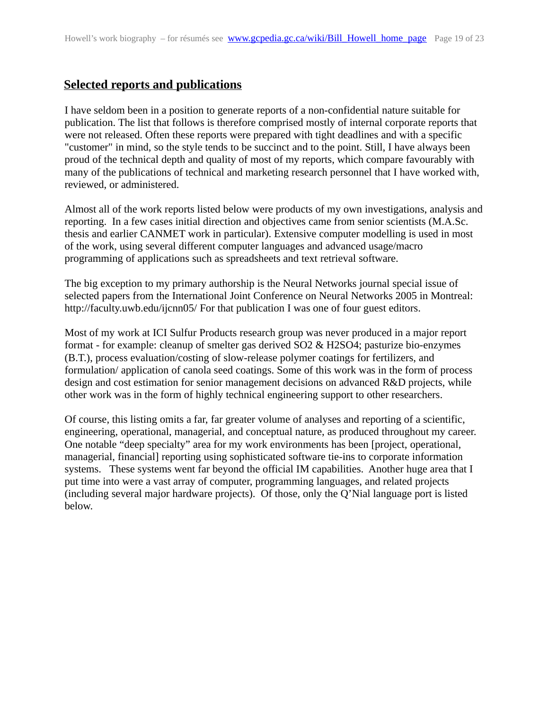## <span id="page-18-0"></span>**Selected reports and publications**

I have seldom been in a position to generate reports of a non-confidential nature suitable for publication. The list that follows is therefore comprised mostly of internal corporate reports that were not released. Often these reports were prepared with tight deadlines and with a specific "customer" in mind, so the style tends to be succinct and to the point. Still, I have always been proud of the technical depth and quality of most of my reports, which compare favourably with many of the publications of technical and marketing research personnel that I have worked with, reviewed, or administered.

Almost all of the work reports listed below were products of my own investigations, analysis and reporting. In a few cases initial direction and objectives came from senior scientists (M.A.Sc. thesis and earlier CANMET work in particular). Extensive computer modelling is used in most of the work, using several different computer languages and advanced usage/macro programming of applications such as spreadsheets and text retrieval software.

The big exception to my primary authorship is the Neural Networks journal special issue of selected papers from the International Joint Conference on Neural Networks 2005 in Montreal: http://faculty.uwb.edu/ijcnn05/ For that publication I was one of four guest editors.

Most of my work at ICI Sulfur Products research group was never produced in a major report format - for example: cleanup of smelter gas derived SO2 & H2SO4; pasturize bio-enzymes (B.T.), process evaluation/costing of slow-release polymer coatings for fertilizers, and formulation/ application of canola seed coatings. Some of this work was in the form of process design and cost estimation for senior management decisions on advanced R&D projects, while other work was in the form of highly technical engineering support to other researchers.

Of course, this listing omits a far, far greater volume of analyses and reporting of a scientific, engineering, operational, managerial, and conceptual nature, as produced throughout my career. One notable "deep specialty" area for my work environments has been [project, operational, managerial, financial] reporting using sophisticated software tie-ins to corporate information systems. These systems went far beyond the official IM capabilities. Another huge area that I put time into were a vast array of computer, programming languages, and related projects (including several major hardware projects). Of those, only the Q'Nial language port is listed below.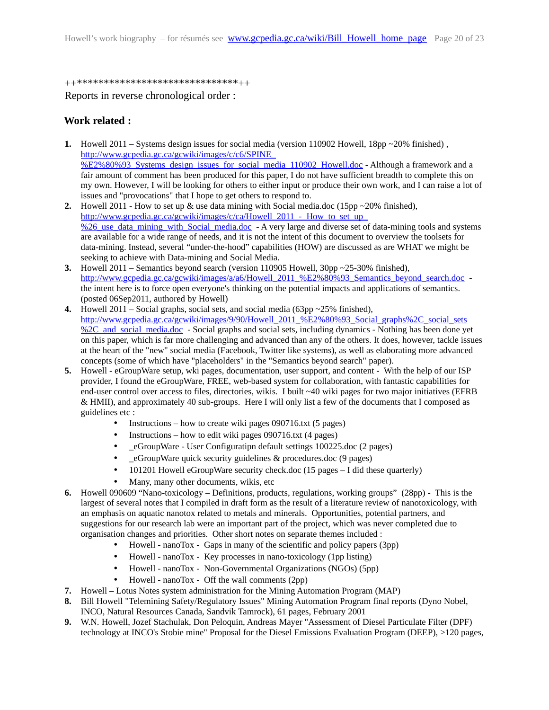#### ++\*\*\*\*\*\*\*\*\*\*\*\*\*\*\*\*\*\*\*\*\*\*\*\*\*\*\*\*\*\*++

Reports in reverse chronological order :

#### <span id="page-19-0"></span>**Work related :**

- **1.** Howell 2011 Systems design issues for social media (version 110902 Howell, 18pp ~20% finished) , [http://www.gcpedia.gc.ca/gcwiki/images/c/c6/SPINE\\_](http://www.gcpedia.gc.ca/gcwiki/images/c/c6/SPINE_%E2%80%93_Systems_design_issues_for_social_media_110902_Howell.doc) [%E2%80%93\\_Systems\\_design\\_issues\\_for\\_social\\_media\\_110902\\_Howell.doc](http://www.gcpedia.gc.ca/gcwiki/images/c/c6/SPINE_%E2%80%93_Systems_design_issues_for_social_media_110902_Howell.doc) - Although a framework and a fair amount of comment has been produced for this paper, I do not have sufficient breadth to complete this on my own. However, I will be looking for others to either input or produce their own work, and I can raise a lot of issues and "provocations" that I hope to get others to respond to.
- **2.** Howell 2011 How to set up & use data mining with Social media.doc (15pp ~20% finished), http://www.gcpedia.gc.ca/gcwiki/images/c/ca/Howell 2011 - How to set up %26 use data mining with Social media.doc - A very large and diverse set of data-mining tools and systems are available for a wide range of needs, and it is not the intent of this document to overview the toolsets for data-mining. Instead, several "under-the-hood" capabilities (HOW) are discussed as are WHAT we might be seeking to achieve with Data-mining and Social Media.
- **3.** Howell 2011 Semantics beyond search (version 110905 Howell, 30pp ~25-30% finished), [http://www.gcpedia.gc.ca/gcwiki/images/a/a6/Howell\\_2011\\_%E2%80%93\\_Semantics\\_beyond\\_search.doc](http://www.gcpedia.gc.ca/gcwiki/images/a/a6/Howell_2011_%E2%80%93_Semantics_beyond_search.doc) the intent here is to force open everyone's thinking on the potential impacts and applications of semantics. (posted 06Sep2011, authored by Howell)
- **4.** Howell 2011 Social graphs, social sets, and social media (63pp ~25% finished), [http://www.gcpedia.gc.ca/gcwiki/images/9/90/Howell\\_2011\\_%E2%80%93\\_Social\\_graphs%2C\\_social\\_sets](http://www.gcpedia.gc.ca/gcwiki/images/9/90/Howell_2011_%E2%80%93_Social_graphs%2C_social_sets%2C_and_social_media.doc) [%2C\\_and\\_social\\_media.doc](http://www.gcpedia.gc.ca/gcwiki/images/9/90/Howell_2011_%E2%80%93_Social_graphs%2C_social_sets%2C_and_social_media.doc) - Social graphs and social sets, including dynamics - Nothing has been done yet on this paper, which is far more challenging and advanced than any of the others. It does, however, tackle issues at the heart of the "new" social media (Facebook, Twitter like systems), as well as elaborating more advanced concepts (some of which have "placeholders" in the "Semantics beyond search" paper).
- **5.** Howell eGroupWare setup, wki pages, documentation, user support, and content With the help of our ISP provider, I found the eGroupWare, FREE, web-based system for collaboration, with fantastic capabilities for end-user control over access to files, directories, wikis. I built  $\sim$ 40 wiki pages for two major initiatives (EFRB & HMII), and approximately 40 sub-groups. Here I will only list a few of the documents that I composed as guidelines etc :
	- Instructions how to create wiki pages  $090716$ .txt (5 pages)
	- Instructions how to edit wiki pages 090716.txt (4 pages)
	- \_eGroupWare User Configuratipn default settings 100225.doc (2 pages)
	- \_eGroupWare quick security guidelines & procedures.doc (9 pages)
	- 101201 Howell eGroupWare security check.doc (15 pages I did these quarterly)
	- Many, many other documents, wikis, etc
- **6.** Howell 090609 "Nano-toxicology Definitions, products, regulations, working groups" (28pp) This is the largest of several notes that I compiled in draft form as the result of a literature review of nanotoxicology, with an emphasis on aquatic nanotox related to metals and minerals. Opportunities, potential partners, and suggestions for our research lab were an important part of the project, which was never completed due to organisation changes and priorities. Other short notes on separate themes included :
	- Howell nanoTox Gaps in many of the scientific and policy papers (3pp)
	- Howell nanoTox Key processes in nano-toxicology (1pp listing)
	- Howell nanoTox Non-Governmental Organizations (NGOs) (5pp)
	- Howell nanoTox Off the wall comments (2pp)
- **7.** Howell Lotus Notes system administration for the Mining Automation Program (MAP)
- **8.** Bill Howell "Telemining Safety/Regulatory Issues" Mining Automation Program final reports (Dyno Nobel, INCO, Natural Resources Canada, Sandvik Tamrock), 61 pages, February 2001
- **9.** W.N. Howell, Jozef Stachulak, Don Peloquin, Andreas Mayer "Assessment of Diesel Particulate Filter (DPF) technology at INCO's Stobie mine" Proposal for the Diesel Emissions Evaluation Program (DEEP), >120 pages,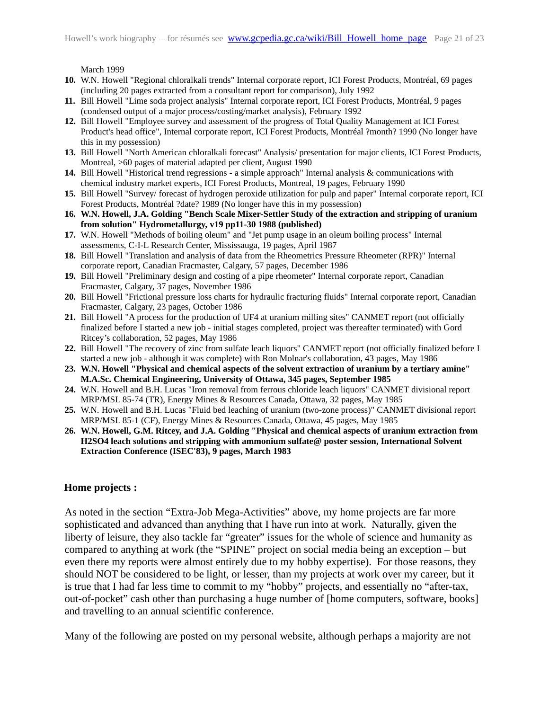March 1999

- **10.** W.N. Howell "Regional chloralkali trends" Internal corporate report, ICI Forest Products, Montréal, 69 pages (including 20 pages extracted from a consultant report for comparison), July 1992
- **11.** Bill Howell "Lime soda project analysis" Internal corporate report, ICI Forest Products, Montréal, 9 pages (condensed output of a major process/costing/market analysis), February 1992
- **12.** Bill Howell "Employee survey and assessment of the progress of Total Quality Management at ICI Forest Product's head office", Internal corporate report, ICI Forest Products, Montréal ?month? 1990 (No longer have this in my possession)
- **13.** Bill Howell "North American chloralkali forecast" Analysis/ presentation for major clients, ICI Forest Products, Montreal, >60 pages of material adapted per client, August 1990
- **14.** Bill Howell "Historical trend regressions a simple approach" Internal analysis & communications with chemical industry market experts, ICI Forest Products, Montreal, 19 pages, February 1990
- **15.** Bill Howell "Survey/ forecast of hydrogen peroxide utilization for pulp and paper" Internal corporate report, ICI Forest Products, Montréal ?date? 1989 (No longer have this in my possession)
- **16. W.N. Howell, J.A. Golding "Bench Scale Mixer-Settler Study of the extraction and stripping of uranium from solution" Hydrometallurgy, v19 pp11-30 1988 (published)**
- **17.** W.N. Howell "Methods of boiling oleum" and "Jet pump usage in an oleum boiling process" Internal assessments, C-I-L Research Center, Mississauga, 19 pages, April 1987
- **18.** Bill Howell "Translation and analysis of data from the Rheometrics Pressure Rheometer (RPR)" Internal corporate report, Canadian Fracmaster, Calgary, 57 pages, December 1986
- **19.** Bill Howell "Preliminary design and costing of a pipe rheometer" Internal corporate report, Canadian Fracmaster, Calgary, 37 pages, November 1986
- **20.** Bill Howell "Frictional pressure loss charts for hydraulic fracturing fluids" Internal corporate report, Canadian Fracmaster, Calgary, 23 pages, October 1986
- **21.** Bill Howell "A process for the production of UF4 at uranium milling sites" CANMET report (not officially finalized before I started a new job - initial stages completed, project was thereafter terminated) with Gord Ritcey's collaboration, 52 pages, May 1986
- **22.** Bill Howell "The recovery of zinc from sulfate leach liquors" CANMET report (not officially finalized before I started a new job - although it was complete) with Ron Molnar's collaboration, 43 pages, May 1986
- **23. W.N. Howell "Physical and chemical aspects of the solvent extraction of uranium by a tertiary amine" M.A.Sc. Chemical Engineering, University of Ottawa, 345 pages, September 1985**
- **24.** W.N. Howell and B.H. Lucas "Iron removal from ferrous chloride leach liquors" CANMET divisional report MRP/MSL 85-74 (TR), Energy Mines & Resources Canada, Ottawa, 32 pages, May 1985
- **25.** W.N. Howell and B.H. Lucas "Fluid bed leaching of uranium (two-zone process)" CANMET divisional report MRP/MSL 85-1 (CF), Energy Mines & Resources Canada, Ottawa, 45 pages, May 1985
- **26. W.N. Howell, G.M. Ritcey, and J.A. Golding "Physical and chemical aspects of uranium extraction from H2SO4 leach solutions and stripping with ammonium sulfate@ poster session, International Solvent Extraction Conference (ISEC'83), 9 pages, March 1983**

#### <span id="page-20-0"></span>**Home projects :**

As noted in the section "Extra-Job Mega-Activities" above, my home projects are far more sophisticated and advanced than anything that I have run into at work. Naturally, given the liberty of leisure, they also tackle far "greater" issues for the whole of science and humanity as compared to anything at work (the "SPINE" project on social media being an exception – but even there my reports were almost entirely due to my hobby expertise). For those reasons, they should NOT be considered to be light, or lesser, than my projects at work over my career, but it is true that I had far less time to commit to my "hobby" projects, and essentially no "after-tax, out-of-pocket" cash other than purchasing a huge number of [home computers, software, books] and travelling to an annual scientific conference.

Many of the following are posted on my personal website, although perhaps a majority are not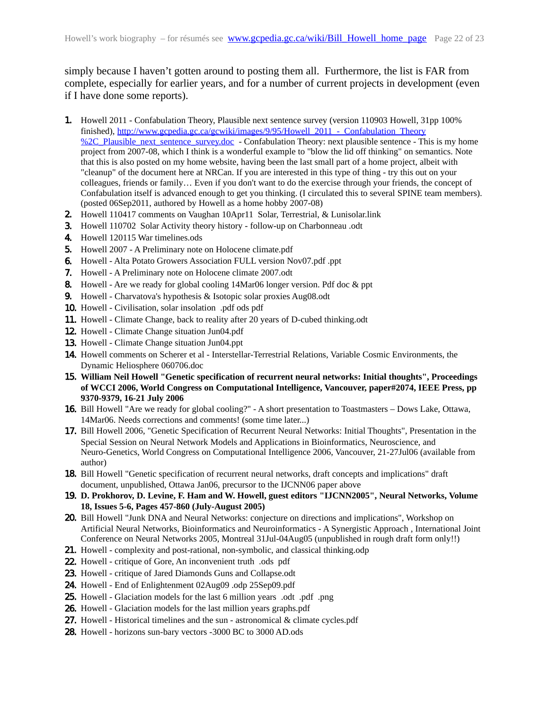simply because I haven't gotten around to posting them all. Furthermore, the list is FAR from complete, especially for earlier years, and for a number of current projects in development (even if I have done some reports).

- 1. Howell 2011 Confabulation Theory, Plausible next sentence survey (version 110903 Howell, 31pp 100% finished), [http://www.gcpedia.gc.ca/gcwiki/images/9/95/Howell\\_2011\\_-\\_Confabulation\\_Theory](http://www.gcpedia.gc.ca/gcwiki/images/9/95/Howell_2011_-_Confabulation_Theory%2C_Plausible_next_sentence_survey.doc) [%2C\\_Plausible\\_next\\_sentence\\_survey.doc](http://www.gcpedia.gc.ca/gcwiki/images/9/95/Howell_2011_-_Confabulation_Theory%2C_Plausible_next_sentence_survey.doc) - Confabulation Theory: next plausible sentence - This is my home project from 2007-08, which I think is a wonderful example to "blow the lid off thinking" on semantics. Note that this is also posted on my home website, having been the last small part of a home project, albeit with "cleanup" of the document here at NRCan. If you are interested in this type of thing - try this out on your colleagues, friends or family… Even if you don't want to do the exercise through your friends, the concept of Confabulation itself is advanced enough to get you thinking. (I circulated this to several SPINE team members). (posted 06Sep2011, authored by Howell as a home hobby 2007-08)
- 2. Howell 110417 comments on Vaughan 10Apr11 Solar, Terrestrial, & Lunisolar.link
- 3. Howell 110702 Solar Activity theory history follow-up on Charbonneau .odt
- 4. Howell 120115 War timelines.ods
- 5. Howell 2007 A Preliminary note on Holocene climate.pdf
- 6. Howell Alta Potato Growers Association FULL version Nov07.pdf .ppt
- 7. Howell A Preliminary note on Holocene climate 2007.odt
- 8. Howell Are we ready for global cooling 14Mar06 longer version. Pdf doc & ppt
- 9. Howell Charvatova's hypothesis & Isotopic solar proxies Aug08.odt
- 10. Howell Civilisation, solar insolation .pdf ods pdf
- 11. Howell Climate Change, back to reality after 20 years of D-cubed thinking.odt
- 12. Howell Climate Change situation Jun04.pdf
- 13. Howell Climate Change situation Jun04.ppt
- 14. Howell comments on Scherer et al Interstellar-Terrestrial Relations, Variable Cosmic Environments, the Dynamic Heliosphere 060706.doc
- 15. **William Neil Howell "Genetic specification of recurrent neural networks: Initial thoughts", Proceedings of WCCI 2006, World Congress on Computational Intelligence, Vancouver, paper#2074, IEEE Press, pp 9370-9379, 16-21 July 2006**
- 16. Bill Howell "Are we ready for global cooling?" A short presentation to Toastmasters Dows Lake, Ottawa, 14Mar06. Needs corrections and comments! (some time later...)
- 17. Bill Howell 2006, "Genetic Specification of Recurrent Neural Networks: Initial Thoughts", Presentation in the Special Session on Neural Network Models and Applications in Bioinformatics, Neuroscience, and Neuro-Genetics, World Congress on Computational Intelligence 2006, Vancouver, 21-27Jul06 (available from author)
- 18. Bill Howell "Genetic specification of recurrent neural networks, draft concepts and implications" draft document, unpublished, Ottawa Jan06, precursor to the IJCNN06 paper above
- 19. **D. Prokhorov, D. Levine, F. Ham and W. Howell, guest editors "IJCNN2005", Neural Networks, Volume 18, Issues 5-6, Pages 457-860 (July-August 2005)**
- 20. Bill Howell "Junk DNA and Neural Networks: conjecture on directions and implications", Workshop on Artificial Neural Networks, Bioinformatics and Neuroinformatics - A Synergistic Approach , International Joint Conference on Neural Networks 2005, Montreal 31Jul-04Aug05 (unpublished in rough draft form only!!)
- 21. Howell complexity and post-rational, non-symbolic, and classical thinking.odp
- 22. Howell critique of Gore, An inconvenient truth .ods pdf
- 23. Howell critique of Jared Diamonds Guns and Collapse.odt
- 24. Howell End of Enlightenment 02Aug09 .odp 25Sep09.pdf
- 25. Howell Glaciation models for the last 6 million years .odt .pdf .png
- 26. Howell Glaciation models for the last million years graphs.pdf
- 27. Howell Historical timelines and the sun astronomical & climate cycles.pdf
- 28. Howell horizons sun-bary vectors -3000 BC to 3000 AD.ods